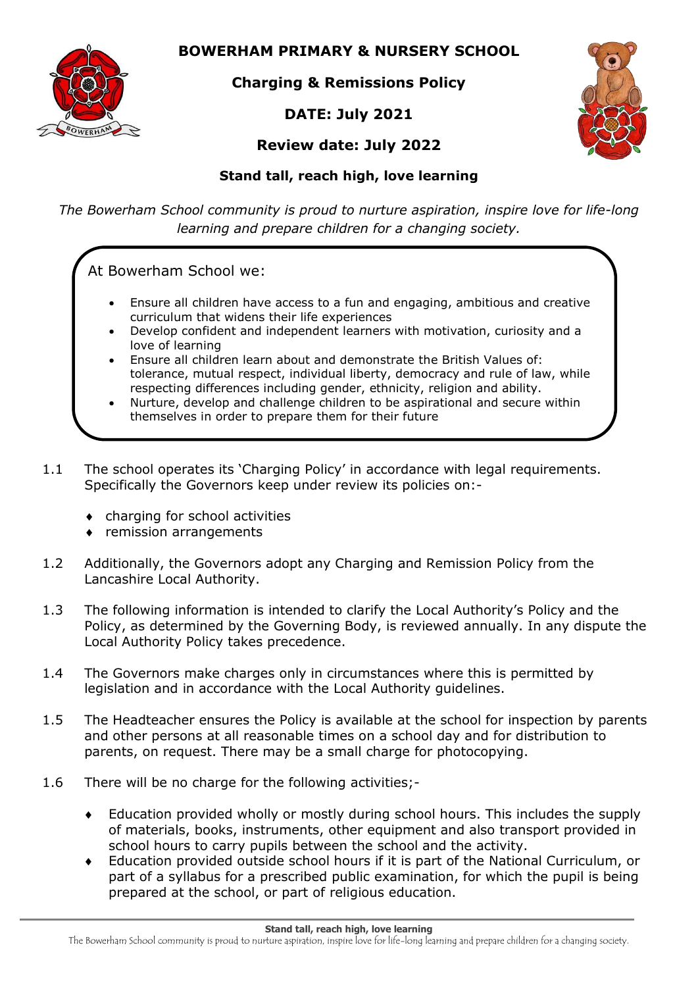

**BOWERHAM PRIMARY & NURSERY SCHOOL**

**Charging & Remissions Policy**

# **DATE: July 2021**



**Review date: July 2022**

## **Stand tall, reach high, love learning**

*The Bowerham School community is proud to nurture aspiration, inspire love for life-long learning and prepare children for a changing society.*

At Bowerham School we:

- Ensure all children have access to a fun and engaging, ambitious and creative curriculum that widens their life experiences
- Develop confident and independent learners with motivation, curiosity and a love of learning
- Ensure all children learn about and demonstrate the British Values of: tolerance, mutual respect, individual liberty, democracy and rule of law, while respecting differences including gender, ethnicity, religion and ability.
- Nurture, develop and challenge children to be aspirational and secure within themselves in order to prepare them for their future
- 1.1 The school operates its 'Charging Policy' in accordance with legal requirements. Specifically the Governors keep under review its policies on:
	- charging for school activities
	- ◆ remission arrangements
- 1.2 Additionally, the Governors adopt any Charging and Remission Policy from the Lancashire Local Authority.
- 1.3 The following information is intended to clarify the Local Authority's Policy and the Policy, as determined by the Governing Body, is reviewed annually. In any dispute the Local Authority Policy takes precedence.
- 1.4 The Governors make charges only in circumstances where this is permitted by legislation and in accordance with the Local Authority guidelines.
- 1.5 The Headteacher ensures the Policy is available at the school for inspection by parents and other persons at all reasonable times on a school day and for distribution to parents, on request. There may be a small charge for photocopying.
- 1.6 There will be no charge for the following activities;-
	- Education provided wholly or mostly during school hours. This includes the supply of materials, books, instruments, other equipment and also transport provided in school hours to carry pupils between the school and the activity.
	- Education provided outside school hours if it is part of the National Curriculum, or part of a syllabus for a prescribed public examination, for which the pupil is being prepared at the school, or part of religious education.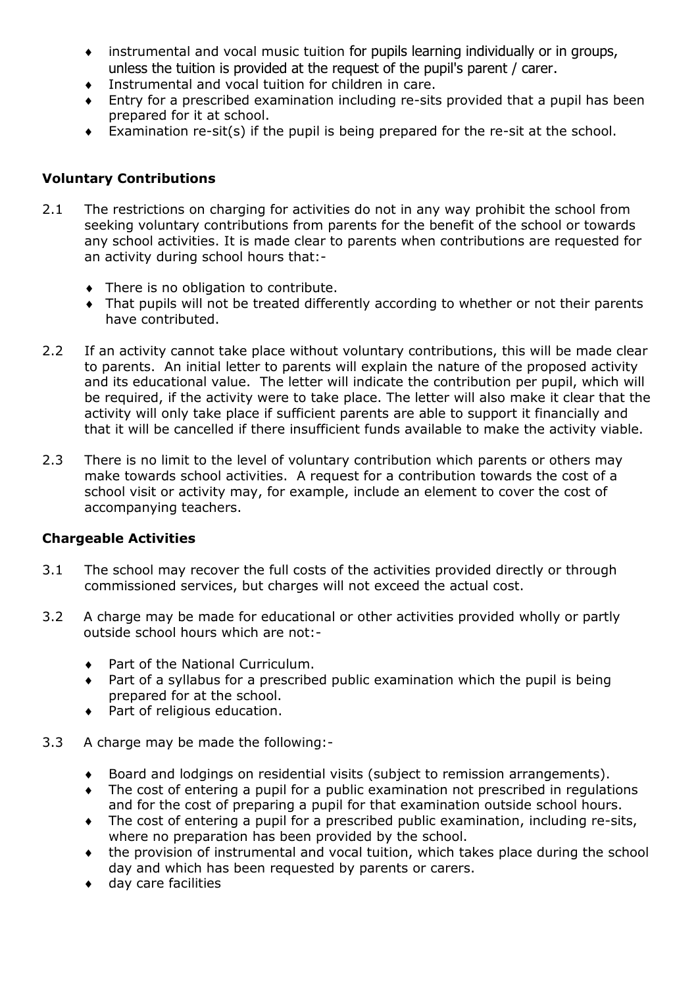- instrumental and vocal music tuition for pupils learning individually or in groups, unless the tuition is provided at the request of the pupil's parent / carer.
- Instrumental and vocal tuition for children in care.
- Entry for a prescribed examination including re-sits provided that a pupil has been prepared for it at school.
- Examination re-sit(s) if the pupil is being prepared for the re-sit at the school.

## **Voluntary Contributions**

- 2.1 The restrictions on charging for activities do not in any way prohibit the school from seeking voluntary contributions from parents for the benefit of the school or towards any school activities. It is made clear to parents when contributions are requested for an activity during school hours that:-
	- There is no obligation to contribute.
	- That pupils will not be treated differently according to whether or not their parents have contributed.
- 2.2 If an activity cannot take place without voluntary contributions, this will be made clear to parents. An initial letter to parents will explain the nature of the proposed activity and its educational value. The letter will indicate the contribution per pupil, which will be required, if the activity were to take place. The letter will also make it clear that the activity will only take place if sufficient parents are able to support it financially and that it will be cancelled if there insufficient funds available to make the activity viable.
- 2.3 There is no limit to the level of voluntary contribution which parents or others may make towards school activities. A request for a contribution towards the cost of a school visit or activity may, for example, include an element to cover the cost of accompanying teachers.

#### **Chargeable Activities**

- 3.1 The school may recover the full costs of the activities provided directly or through commissioned services, but charges will not exceed the actual cost.
- 3.2 A charge may be made for educational or other activities provided wholly or partly outside school hours which are not:-
	- ◆ Part of the National Curriculum.
	- Part of a syllabus for a prescribed public examination which the pupil is being prepared for at the school.
	- ◆ Part of religious education.
- 3.3 A charge may be made the following:-
	- Board and lodgings on residential visits (subject to remission arrangements).
	- The cost of entering a pupil for a public examination not prescribed in regulations and for the cost of preparing a pupil for that examination outside school hours.
	- The cost of entering a pupil for a prescribed public examination, including re-sits, where no preparation has been provided by the school.
	- the provision of instrumental and vocal tuition, which takes place during the school day and which has been requested by parents or carers.
	- day care facilities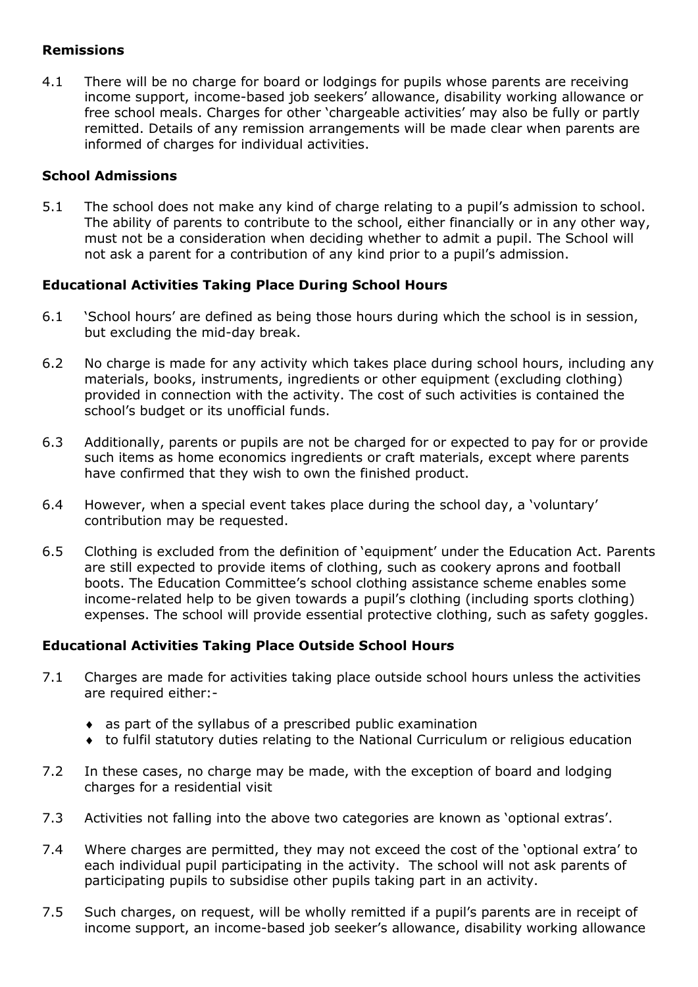## **Remissions**

4.1 There will be no charge for board or lodgings for pupils whose parents are receiving income support, income-based job seekers' allowance, disability working allowance or free school meals. Charges for other 'chargeable activities' may also be fully or partly remitted. Details of any remission arrangements will be made clear when parents are informed of charges for individual activities.

## **School Admissions**

5.1 The school does not make any kind of charge relating to a pupil's admission to school. The ability of parents to contribute to the school, either financially or in any other way, must not be a consideration when deciding whether to admit a pupil. The School will not ask a parent for a contribution of any kind prior to a pupil's admission.

## **Educational Activities Taking Place During School Hours**

- 6.1 'School hours' are defined as being those hours during which the school is in session, but excluding the mid-day break.
- 6.2 No charge is made for any activity which takes place during school hours, including any materials, books, instruments, ingredients or other equipment (excluding clothing) provided in connection with the activity. The cost of such activities is contained the school's budget or its unofficial funds.
- 6.3 Additionally, parents or pupils are not be charged for or expected to pay for or provide such items as home economics ingredients or craft materials, except where parents have confirmed that they wish to own the finished product.
- 6.4 However, when a special event takes place during the school day, a 'voluntary' contribution may be requested.
- 6.5 Clothing is excluded from the definition of 'equipment' under the Education Act. Parents are still expected to provide items of clothing, such as cookery aprons and football boots. The Education Committee's school clothing assistance scheme enables some income-related help to be given towards a pupil's clothing (including sports clothing) expenses. The school will provide essential protective clothing, such as safety goggles.

## **Educational Activities Taking Place Outside School Hours**

- 7.1 Charges are made for activities taking place outside school hours unless the activities are required either:
	- as part of the syllabus of a prescribed public examination
	- to fulfil statutory duties relating to the National Curriculum or religious education
- 7.2 In these cases, no charge may be made, with the exception of board and lodging charges for a residential visit
- 7.3 Activities not falling into the above two categories are known as 'optional extras'.
- 7.4 Where charges are permitted, they may not exceed the cost of the 'optional extra' to each individual pupil participating in the activity. The school will not ask parents of participating pupils to subsidise other pupils taking part in an activity.
- 7.5 Such charges, on request, will be wholly remitted if a pupil's parents are in receipt of income support, an income-based job seeker's allowance, disability working allowance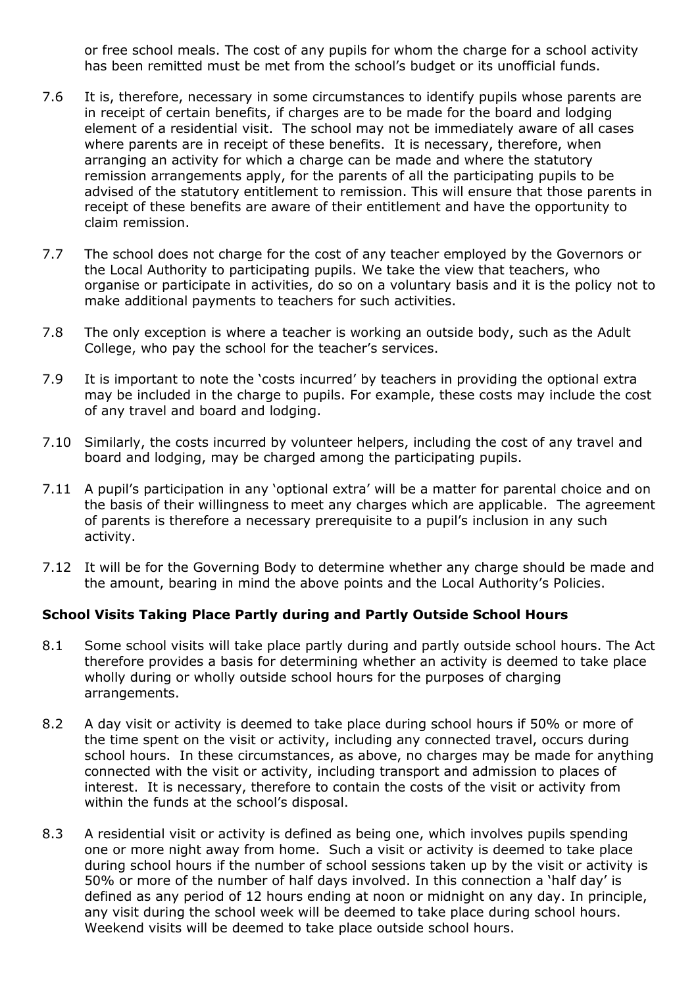or free school meals. The cost of any pupils for whom the charge for a school activity has been remitted must be met from the school's budget or its unofficial funds.

- 7.6 It is, therefore, necessary in some circumstances to identify pupils whose parents are in receipt of certain benefits, if charges are to be made for the board and lodging element of a residential visit. The school may not be immediately aware of all cases where parents are in receipt of these benefits. It is necessary, therefore, when arranging an activity for which a charge can be made and where the statutory remission arrangements apply, for the parents of all the participating pupils to be advised of the statutory entitlement to remission. This will ensure that those parents in receipt of these benefits are aware of their entitlement and have the opportunity to claim remission.
- 7.7 The school does not charge for the cost of any teacher employed by the Governors or the Local Authority to participating pupils. We take the view that teachers, who organise or participate in activities, do so on a voluntary basis and it is the policy not to make additional payments to teachers for such activities.
- 7.8 The only exception is where a teacher is working an outside body, such as the Adult College, who pay the school for the teacher's services.
- 7.9 It is important to note the 'costs incurred' by teachers in providing the optional extra may be included in the charge to pupils. For example, these costs may include the cost of any travel and board and lodging.
- 7.10 Similarly, the costs incurred by volunteer helpers, including the cost of any travel and board and lodging, may be charged among the participating pupils.
- 7.11 A pupil's participation in any 'optional extra' will be a matter for parental choice and on the basis of their willingness to meet any charges which are applicable. The agreement of parents is therefore a necessary prerequisite to a pupil's inclusion in any such activity.
- 7.12 It will be for the Governing Body to determine whether any charge should be made and the amount, bearing in mind the above points and the Local Authority's Policies.

#### **School Visits Taking Place Partly during and Partly Outside School Hours**

- 8.1 Some school visits will take place partly during and partly outside school hours. The Act therefore provides a basis for determining whether an activity is deemed to take place wholly during or wholly outside school hours for the purposes of charging arrangements.
- 8.2 A day visit or activity is deemed to take place during school hours if 50% or more of the time spent on the visit or activity, including any connected travel, occurs during school hours. In these circumstances, as above, no charges may be made for anything connected with the visit or activity, including transport and admission to places of interest. It is necessary, therefore to contain the costs of the visit or activity from within the funds at the school's disposal.
- 8.3 A residential visit or activity is defined as being one, which involves pupils spending one or more night away from home. Such a visit or activity is deemed to take place during school hours if the number of school sessions taken up by the visit or activity is 50% or more of the number of half days involved. In this connection a 'half day' is defined as any period of 12 hours ending at noon or midnight on any day. In principle, any visit during the school week will be deemed to take place during school hours. Weekend visits will be deemed to take place outside school hours.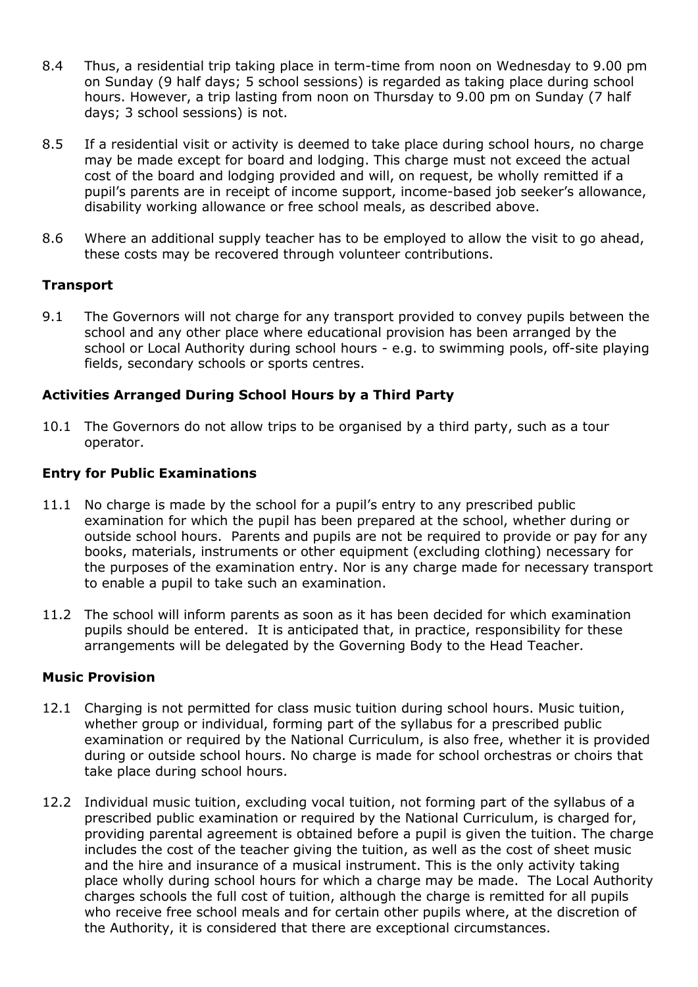- 8.4 Thus, a residential trip taking place in term-time from noon on Wednesday to 9.00 pm on Sunday (9 half days; 5 school sessions) is regarded as taking place during school hours. However, a trip lasting from noon on Thursday to 9.00 pm on Sunday (7 half days; 3 school sessions) is not.
- 8.5 If a residential visit or activity is deemed to take place during school hours, no charge may be made except for board and lodging. This charge must not exceed the actual cost of the board and lodging provided and will, on request, be wholly remitted if a pupil's parents are in receipt of income support, income-based job seeker's allowance, disability working allowance or free school meals, as described above.
- 8.6 Where an additional supply teacher has to be employed to allow the visit to go ahead, these costs may be recovered through volunteer contributions.

## **Transport**

9.1 The Governors will not charge for any transport provided to convey pupils between the school and any other place where educational provision has been arranged by the school or Local Authority during school hours - e.g. to swimming pools, off-site playing fields, secondary schools or sports centres.

#### **Activities Arranged During School Hours by a Third Party**

10.1 The Governors do not allow trips to be organised by a third party, such as a tour operator.

#### **Entry for Public Examinations**

- 11.1 No charge is made by the school for a pupil's entry to any prescribed public examination for which the pupil has been prepared at the school, whether during or outside school hours. Parents and pupils are not be required to provide or pay for any books, materials, instruments or other equipment (excluding clothing) necessary for the purposes of the examination entry. Nor is any charge made for necessary transport to enable a pupil to take such an examination.
- 11.2 The school will inform parents as soon as it has been decided for which examination pupils should be entered. It is anticipated that, in practice, responsibility for these arrangements will be delegated by the Governing Body to the Head Teacher.

#### **Music Provision**

- 12.1 Charging is not permitted for class music tuition during school hours. Music tuition, whether group or individual, forming part of the syllabus for a prescribed public examination or required by the National Curriculum, is also free, whether it is provided during or outside school hours. No charge is made for school orchestras or choirs that take place during school hours.
- 12.2 Individual music tuition, excluding vocal tuition, not forming part of the syllabus of a prescribed public examination or required by the National Curriculum, is charged for, providing parental agreement is obtained before a pupil is given the tuition. The charge includes the cost of the teacher giving the tuition, as well as the cost of sheet music and the hire and insurance of a musical instrument. This is the only activity taking place wholly during school hours for which a charge may be made. The Local Authority charges schools the full cost of tuition, although the charge is remitted for all pupils who receive free school meals and for certain other pupils where, at the discretion of the Authority, it is considered that there are exceptional circumstances.